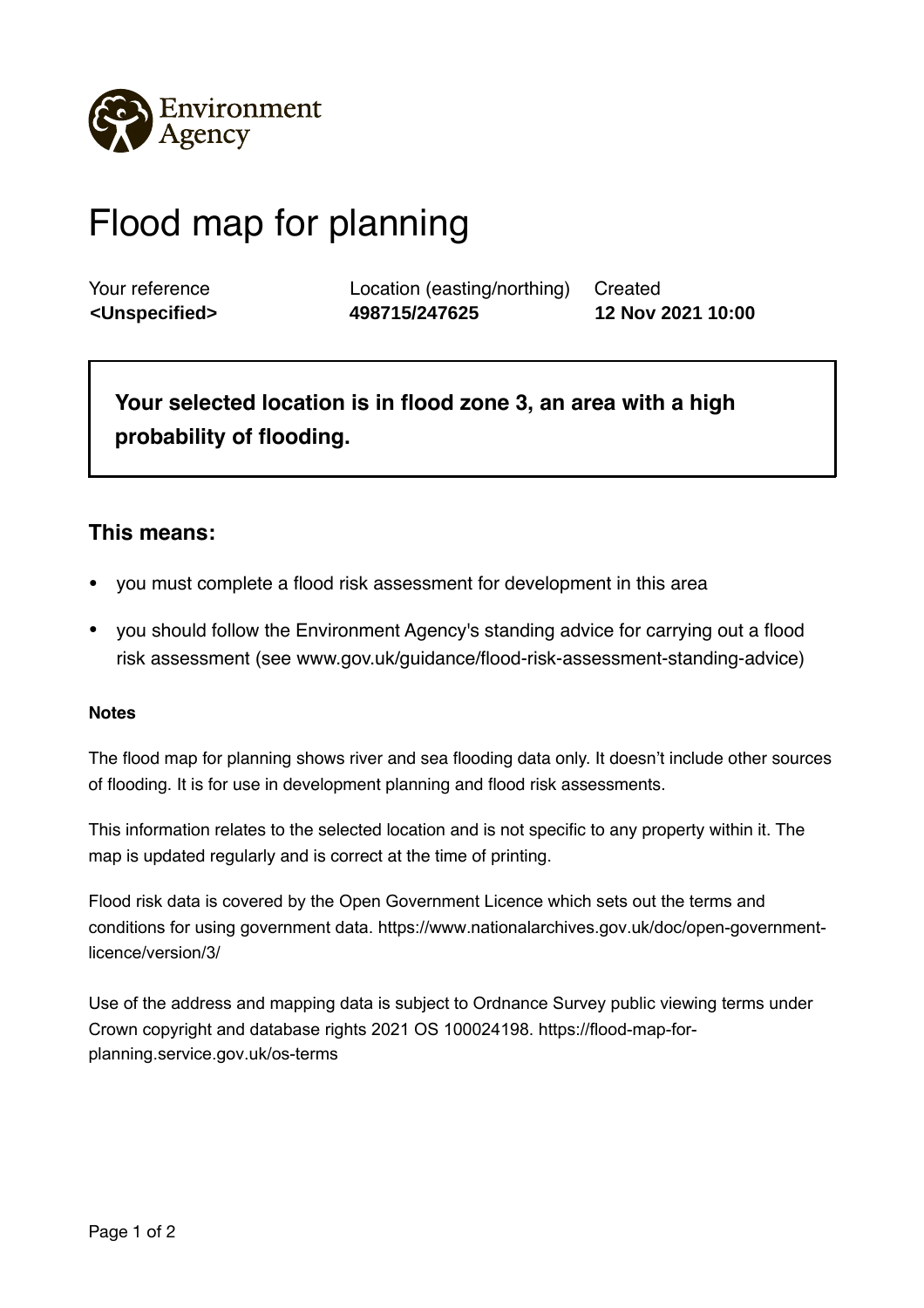

## Flood map for planning

Your reference Location (easting/northing) Created **<Unspecified> 498715/247625 12 Nov 2021 10:00**

**Your selected location is in flood zone 3, an area with a high probability of flooding.** 

## **This means:**

- you must complete a flood risk assessment for development in this area
- you should follow the Environment Agency's standing advice for carrying out a flood risk assessment (see www.gov.uk/guidance/flood-risk-assessment-standing-advice)

## **Notes**

The flood map for planning shows river and sea flooding data only. It doesn't include other sources of flooding. It is for use in development planning and flood risk assessments.

This information relates to the selected location and is not specific to any property within it. The map is updated regularly and is correct at the time of printing.

Flood risk data is covered by the Open Government Licence which sets out the terms and conditions for using government data. https://www.nationalarchives.gov.uk/doc/open-governmentlicence/version/3/

Use of the address and mapping data is subject to Ordnance Survey public viewing terms under Crown copyright and database rights 2021 OS 100024198. https://flood-map-forplanning.service.gov.uk/os-terms